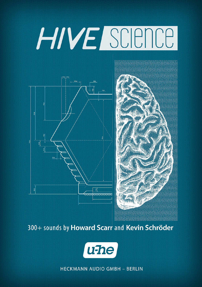# HIVE SCIENCE





300+ sounds by Howard Scarr and Kevin Schröder



**HECKMANN AUDIO GMBH - BERLIN**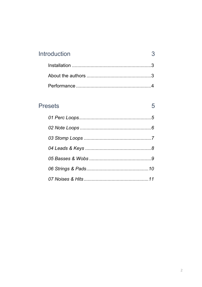| Introduction |  |
|--------------|--|
|              |  |
|              |  |
|              |  |

## **Presets**

5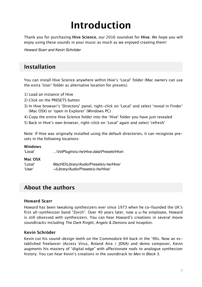# <span id="page-2-0"></span>**Introduction**

Thank you for purchasing **Hive Science**, our 2016 soundset for **Hive**. We hope you will enjoy using these sounds in your music as much as we enjoyed creating them!

*Howard Scarr and Kevin Schröder*

#### <span id="page-2-1"></span>**Installation**

You can install Hive Science anywhere within Hive's 'Local' folder (Mac owners can use the extra 'User' folder as alternative location for presets).

- 1) Load an instance of Hive
- 2) Click on the PRESETS button
- 3) In Hive browser's 'Directory' panel, right-click on 'Local' and select 'reveal in Finder' (Mac OSX) or 'open in Explorer' (Windows PC)
- 4) Copy the entire Hive Science folder into the 'Hive' folder you have just revealed
- 5) Back in Hive's own browser, right-click on 'Local' again and select 'refresh'

Note: If Hive was originally installed using the default directories, it can recognize presets in the following locations:

#### **Windows**

'Local' *...\VstPlugins\u-he\Hive.data\Presets\Hive\*

#### **Mac OSX**

'Local' *MacHD/Library/Audio/Presets/u-he/Hive/* 'User' *~/Library/Audio/Presets/u-he/Hive/*

#### <span id="page-2-2"></span>**About the authors**

#### **Howard Scarr**

Howard has been tweaking synthesizers ever since 1973 when he co-founded the UK's first all-synthesizer band "Zorch". Over 40 years later, now a u-he employee, Howard is still obsessed with synthesizers. You can hear Howard's creations in several movie soundtracks including *The Dark Knight*, *Angels & Demons* and *Inception*.

#### **Kevin Schröder**

Kevin cut his sound-design teeth on the Commodore 64 back in the '90s. Now an established freelancer (Access Virus, Roland Aira / JDXA) and demo composer, Kevin augments his mastery of "digital edge" with affectionate nods to analogue synthesizer history. You can hear Kevin's creations in the soundtrack to *Men in Black 3*.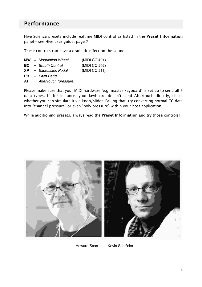#### <span id="page-3-0"></span>**Performance**

Hive Science presets include realtime MIDI control as listed in the **Preset Information** panel – see Hive user guide, page 7.

These controls can have a dramatic effect on the sound:

|     | $MW = Modulation Wheel$ | (MIDI CC $#01$ ) |
|-----|-------------------------|------------------|
|     | $BC = Breath Control$   | (MIDICC #02)     |
| XP. | = Expression Pedal      | (MIDICC #11)     |

- **PB** *= Pitch Bend*
- **AT** = *AfterTouch (pressure)*

Please make sure that your MIDI hardware (e.g. master keyboard) is set up to send all 5 data types. If, for instance, your keyboard doesn't send Aftertouch directly, check whether you can simulate it via knob/slider. Failing that, try converting normal CC data into "channel pressure" or even "poly pressure" within your host application.

While auditioning presets, always read the **Preset Information** and try those controls!



Howard Scarr | Kevin Schröder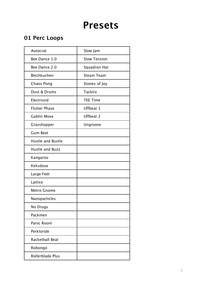# <span id="page-4-0"></span>**Presets**

## <span id="page-4-1"></span>**01 Perc Loops**

| Autocrat                 | Slow Jam            |
|--------------------------|---------------------|
| Bee Dance 1.0            | <b>Slow Tension</b> |
| Bee Dance 2.0            | Squadron Hat        |
| Blechkuchen              | <b>Steam Team</b>   |
| Chaos Pong               | Stones of Joy       |
| Dust & Drums             | <b>Tacktix</b>      |
| Electrosid               | <b>TEE Time</b>     |
| <b>Flutter Phase</b>     | Uffbeat 1           |
| <b>Goblin Move</b>       | <b>Uffbeat 2</b>    |
| Grasshopper              | Ungroove            |
| <b>Gum Beat</b>          |                     |
| <b>Hustle and Bustle</b> |                     |
| Hustle and Buzz          |                     |
| Kangaroo                 |                     |
| Keksdose                 |                     |
| Large Feet               |                     |
| Lattice                  |                     |
| <b>Metro Gnome</b>       |                     |
| Nanoparticles            |                     |
| No Drugs                 |                     |
| Packmen                  |                     |
| Panic Room               |                     |
| Perkloride               |                     |
| Racketball Beat          |                     |
| Robongo                  |                     |
| Rollerblade Plus         |                     |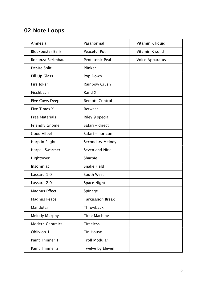#### <span id="page-5-0"></span>**02 Note Loops**

| Amnesia                  | Paranormal              | Vitamin K liquid       |
|--------------------------|-------------------------|------------------------|
| <b>Blockbuster Bells</b> | Peaceful Pot            | Vitamin K solid        |
| Bonanza Berimbau         | Pentatonic Peal         | <b>Voice Apparatus</b> |
| Desire Split             | Plinker                 |                        |
| Fill Up Glass            | Pop Down                |                        |
| Fire Joker               | <b>Rainbow Crush</b>    |                        |
| Fischbach                | Rand X                  |                        |
| <b>Five Cows Deep</b>    | <b>Remote Control</b>   |                        |
| Five Times X             | Retweet                 |                        |
| <b>Free Materials</b>    | Riley 9 special         |                        |
| <b>Friendly Gnome</b>    | Safari - direct         |                        |
| <b>Good Vilbel</b>       | Safari - horizon        |                        |
| Harp in Flight           | Secondary Melody        |                        |
| Harpsi-Swarmer           | Seven and Nine          |                        |
| Hightower                | Sharpie                 |                        |
| Insomniac                | <b>Snake Field</b>      |                        |
| Lassard 1.0              | South West              |                        |
| Lassard 2.0              | Space Night             |                        |
| Magnus Effect            | Spinage                 |                        |
| Magnus Peace             | <b>Tarkussion Break</b> |                        |
| Mandotar                 | Throwback               |                        |
| Melody Murphy            | <b>Time Machine</b>     |                        |
| <b>Modern Ceramics</b>   | Timeless                |                        |
| Oblivion 1               | <b>Tin House</b>        |                        |
| Paint Thinner 1          | <b>Troll Modular</b>    |                        |
| Paint Thinner 2          | Twelve by Eleven        |                        |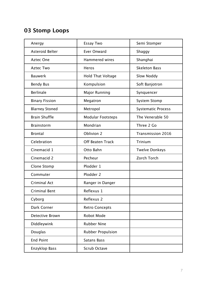# <span id="page-6-0"></span>**03 Stomp Loops**

| Anergy                 | <b>Essay Two</b>         | Semi Stomper              |
|------------------------|--------------------------|---------------------------|
| <b>Asteroid Belter</b> | <b>Ever Onward</b>       | Shaggy                    |
| <b>Aztec One</b>       | <b>Hammered wires</b>    | Shanghai                  |
| Aztec Two              | Heros                    | <b>Skeleton Bass</b>      |
| <b>Bauwerk</b>         | <b>Hold That Voltage</b> | Slow Noddy                |
| <b>Bendy Bus</b>       | Kompulsion               | Soft Banjotron            |
| <b>Berlinale</b>       | Major Running            | Synquencer                |
| <b>Binary Fission</b>  | Megatron                 | <b>System Stomp</b>       |
| <b>Blarney Stoned</b>  | Metropol                 | <b>Systematic Process</b> |
| <b>Brain Shuffle</b>   | <b>Modular Footsteps</b> | The Venerable 50          |
| <b>Brainstorm</b>      | Mondrian                 | Three 2 Go                |
| <b>Brontal</b>         | Oblivion 2               | <b>Transmission 2016</b>  |
| Celebration            | <b>Off Beaten Track</b>  | <b>Trinium</b>            |
| Cinemacid 1            | Otto Bahn                | <b>Twelve Donkeys</b>     |
| Cinemacid 2            | Pecheur                  | Zorch Torch               |
| Clone Stomp            | Plodder 1                |                           |
| Commuter               | Plodder 2                |                           |
| <b>Criminal Act</b>    | Ranger in Danger         |                           |
| <b>Criminal Bent</b>   | Reflexus 1               |                           |
| Cyborg                 | Reflexus 2               |                           |
| Dark Corner            | <b>Retro Concepts</b>    |                           |
| Detective Brown        | <b>Robot Mode</b>        |                           |
| Diddleywink            | <b>Rubber Nine</b>       |                           |
| Douglas                | <b>Rubber Propulsion</b> |                           |
| <b>End Point</b>       | <b>Satans Bass</b>       |                           |
| Enzyklop Bass          | <b>Scrub Octave</b>      |                           |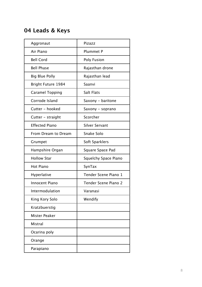#### <span id="page-7-0"></span>**04 Leads & Keys**

| Aggronaut                 | Pizazz                      |
|---------------------------|-----------------------------|
| Air Piano                 | <b>Plummet P</b>            |
| <b>Bell Cord</b>          | Poly Fusion                 |
| <b>Bell Phase</b>         | Rajasthan drone             |
| <b>Big Blue Polly</b>     | Rajasthan lead              |
| <b>Bright Future 1984</b> | Saanvi                      |
| <b>Caramel Topping</b>    | Salt Flats                  |
| Corrode Island            | Saxony - baritone           |
| Cutter - hooked           | Saxony - soprano            |
| Cutter - straight         | Scorcher                    |
| <b>Effected Piano</b>     | Silver Servant              |
| From Dream to Dream       | Snake Solo                  |
| Grumpet                   | Soft Sparklers              |
| Hampshire Organ           | Square Space Pad            |
| <b>Hollow Star</b>        | <b>Squelchy Space Piano</b> |
| <b>Hot Piano</b>          | SynTax                      |
| Hyperlative               | Tender Scene Piano 1        |
| Innocent Piano            | Tender Scene Piano 2        |
| Intermodulation           | Varanasi                    |
| King Kory Solo            | Wendify                     |
| Kratzbuerstig             |                             |
| Mister Peaker             |                             |
| Mistral                   |                             |
| Ocarina poly              |                             |
| Orange                    |                             |
| Parapiano                 |                             |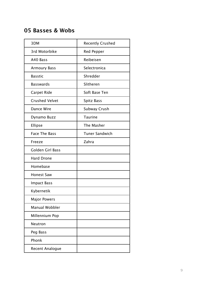#### <span id="page-8-0"></span>**05 Basses & Wobs**

| 3DM                    | <b>Recently Crushed</b> |
|------------------------|-------------------------|
| 3rd Motorbike          | Red Pepper              |
| A40 Bass               | Reibeisen               |
| <b>Armoury Bass</b>    | Selectronica            |
| <b>Basstic</b>         | Shredder                |
| <b>Basswards</b>       | Slitheren               |
| Carpet Ride            | Soft Base Ten           |
| <b>Crushed Velvet</b>  | Spitz Bass              |
| Dance Wire             | Subway Crush            |
| Dynamo Buzz            | <b>Taurine</b>          |
| Ellipse                | The Masher              |
| <b>Face The Bass</b>   | <b>Tuner Sandwich</b>   |
| Freeze                 | Zahra                   |
| Golden Girl Bass       |                         |
| <b>Hard Drone</b>      |                         |
| Homebase               |                         |
| <b>Honest Saw</b>      |                         |
| <b>Impact Bass</b>     |                         |
| Kybernetik             |                         |
| <b>Major Powers</b>    |                         |
| Manual Wobbler         |                         |
| Millennium Pop         |                         |
| Neutron                |                         |
| Peg Bass               |                         |
| Phonk                  |                         |
| <b>Recent Analogue</b> |                         |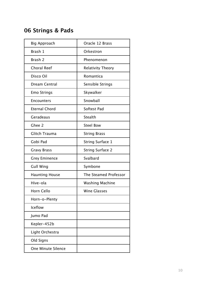# <span id="page-9-0"></span>**06 Strings & Pads**

| <b>Big Approach</b>   | Oracle 12 Brass         |
|-----------------------|-------------------------|
| Brash 1               | Orkestron               |
| Brash 2               | Phenomenon              |
| <b>Choral Reef</b>    | Relativity Theory       |
| Disco Oil             | Romantica               |
| Dream Central         | Sensible Strings        |
| <b>Emo Strings</b>    | Skywalker               |
| <b>Encounters</b>     | Snowball                |
| <b>Eternal Chord</b>  | Softest Pad             |
| Geradeaus             | Stealth                 |
| Ghee 2                | <b>Steel Bow</b>        |
| Glitch Trauma         | <b>String Brass</b>     |
| Gobi Pad              | <b>String Surface 1</b> |
| <b>Gravy Brass</b>    | <b>String Surface 2</b> |
| <b>Grey Eminence</b>  | Svalbard                |
| <b>Gull Wing</b>      | Symbone                 |
| <b>Haunting House</b> | The Steamed Professor   |
| Hive-ola              | <b>Washing Machine</b>  |
| Horn Cello            | <b>Wine Glasses</b>     |
| Horn-o-Plenty         |                         |
| <b>Iceflow</b>        |                         |
| Jumo Pad              |                         |
| Kepler-452b           |                         |
| Light Orchestra       |                         |
| Old Signs             |                         |
| One Minute Silence    |                         |